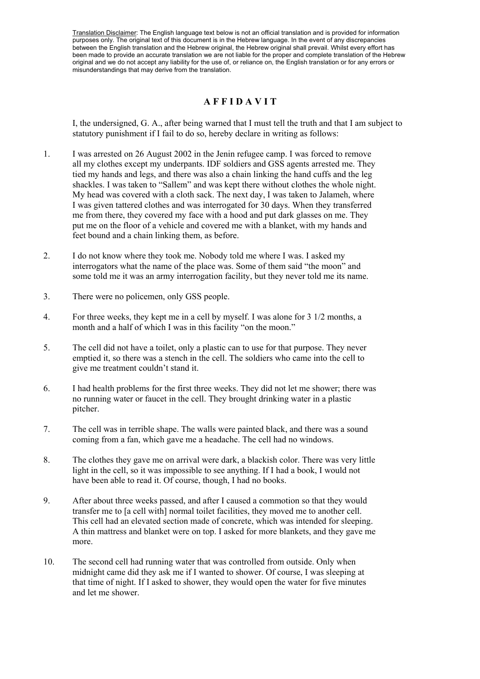Translation Disclaimer: The English language text below is not an official translation and is provided for information purposes only. The original text of this document is in the Hebrew language. In the event of any discrepancies between the English translation and the Hebrew original, the Hebrew original shall prevail. Whilst every effort has been made to provide an accurate translation we are not liable for the proper and complete translation of the Hebrew original and we do not accept any liability for the use of, or reliance on, the English translation or for any errors or misunderstandings that may derive from the translation.

## **A F F I D A V I T**

I, the undersigned, G. A., after being warned that I must tell the truth and that I am subject to statutory punishment if I fail to do so, hereby declare in writing as follows:

- 1. I was arrested on 26 August 2002 in the Jenin refugee camp. I was forced to remove all my clothes except my underpants. IDF soldiers and GSS agents arrested me. They tied my hands and legs, and there was also a chain linking the hand cuffs and the leg shackles. I was taken to "Sallem" and was kept there without clothes the whole night. My head was covered with a cloth sack. The next day, I was taken to Jalameh, where I was given tattered clothes and was interrogated for 30 days. When they transferred me from there, they covered my face with a hood and put dark glasses on me. They put me on the floor of a vehicle and covered me with a blanket, with my hands and feet bound and a chain linking them, as before.
- 2. I do not know where they took me. Nobody told me where I was. I asked my interrogators what the name of the place was. Some of them said "the moon" and some told me it was an army interrogation facility, but they never told me its name.
- 3. There were no policemen, only GSS people.
- 4. For three weeks, they kept me in a cell by myself. I was alone for 3 1/2 months, a month and a half of which I was in this facility "on the moon."
- 5. The cell did not have a toilet, only a plastic can to use for that purpose. They never emptied it, so there was a stench in the cell. The soldiers who came into the cell to give me treatment couldn't stand it.
- 6. I had health problems for the first three weeks. They did not let me shower; there was no running water or faucet in the cell. They brought drinking water in a plastic pitcher.
- 7. The cell was in terrible shape. The walls were painted black, and there was a sound coming from a fan, which gave me a headache. The cell had no windows.
- 8. The clothes they gave me on arrival were dark, a blackish color. There was very little light in the cell, so it was impossible to see anything. If I had a book, I would not have been able to read it. Of course, though, I had no books.
- 9. After about three weeks passed, and after I caused a commotion so that they would transfer me to [a cell with] normal toilet facilities, they moved me to another cell. This cell had an elevated section made of concrete, which was intended for sleeping. A thin mattress and blanket were on top. I asked for more blankets, and they gave me more.
- 10. The second cell had running water that was controlled from outside. Only when midnight came did they ask me if I wanted to shower. Of course, I was sleeping at that time of night. If I asked to shower, they would open the water for five minutes and let me shower.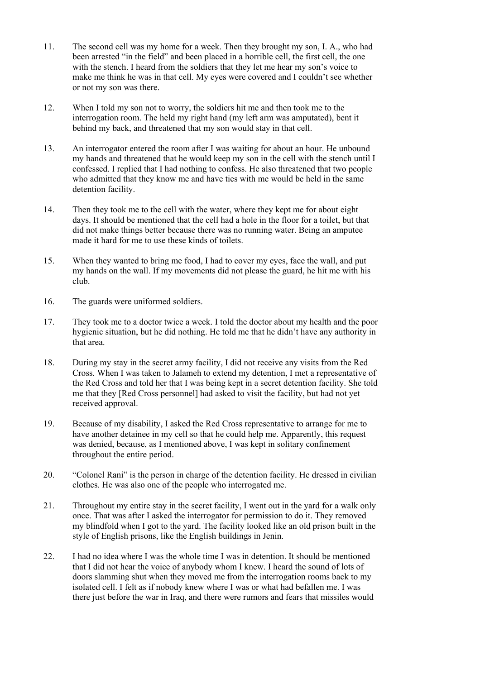- 11. The second cell was my home for a week. Then they brought my son, I. A., who had been arrested "in the field" and been placed in a horrible cell, the first cell, the one with the stench. I heard from the soldiers that they let me hear my son's voice to make me think he was in that cell. My eyes were covered and I couldn't see whether or not my son was there.
- 12. When I told my son not to worry, the soldiers hit me and then took me to the interrogation room. The held my right hand (my left arm was amputated), bent it behind my back, and threatened that my son would stay in that cell.
- 13. An interrogator entered the room after I was waiting for about an hour. He unbound my hands and threatened that he would keep my son in the cell with the stench until I confessed. I replied that I had nothing to confess. He also threatened that two people who admitted that they know me and have ties with me would be held in the same detention facility.
- 14. Then they took me to the cell with the water, where they kept me for about eight days. It should be mentioned that the cell had a hole in the floor for a toilet, but that did not make things better because there was no running water. Being an amputee made it hard for me to use these kinds of toilets.
- 15. When they wanted to bring me food, I had to cover my eyes, face the wall, and put my hands on the wall. If my movements did not please the guard, he hit me with his club.
- 16. The guards were uniformed soldiers.
- 17. They took me to a doctor twice a week. I told the doctor about my health and the poor hygienic situation, but he did nothing. He told me that he didn't have any authority in that area.
- 18. During my stay in the secret army facility, I did not receive any visits from the Red Cross. When I was taken to Jalameh to extend my detention, I met a representative of the Red Cross and told her that I was being kept in a secret detention facility. She told me that they [Red Cross personnel] had asked to visit the facility, but had not yet received approval.
- 19. Because of my disability, I asked the Red Cross representative to arrange for me to have another detainee in my cell so that he could help me. Apparently, this request was denied, because, as I mentioned above, I was kept in solitary confinement throughout the entire period.
- 20. "Colonel Rani" is the person in charge of the detention facility. He dressed in civilian clothes. He was also one of the people who interrogated me.
- 21. Throughout my entire stay in the secret facility, I went out in the yard for a walk only once. That was after I asked the interrogator for permission to do it. They removed my blindfold when I got to the yard. The facility looked like an old prison built in the style of English prisons, like the English buildings in Jenin.
- 22. I had no idea where I was the whole time I was in detention. It should be mentioned that I did not hear the voice of anybody whom I knew. I heard the sound of lots of doors slamming shut when they moved me from the interrogation rooms back to my isolated cell. I felt as if nobody knew where I was or what had befallen me. I was there just before the war in Iraq, and there were rumors and fears that missiles would